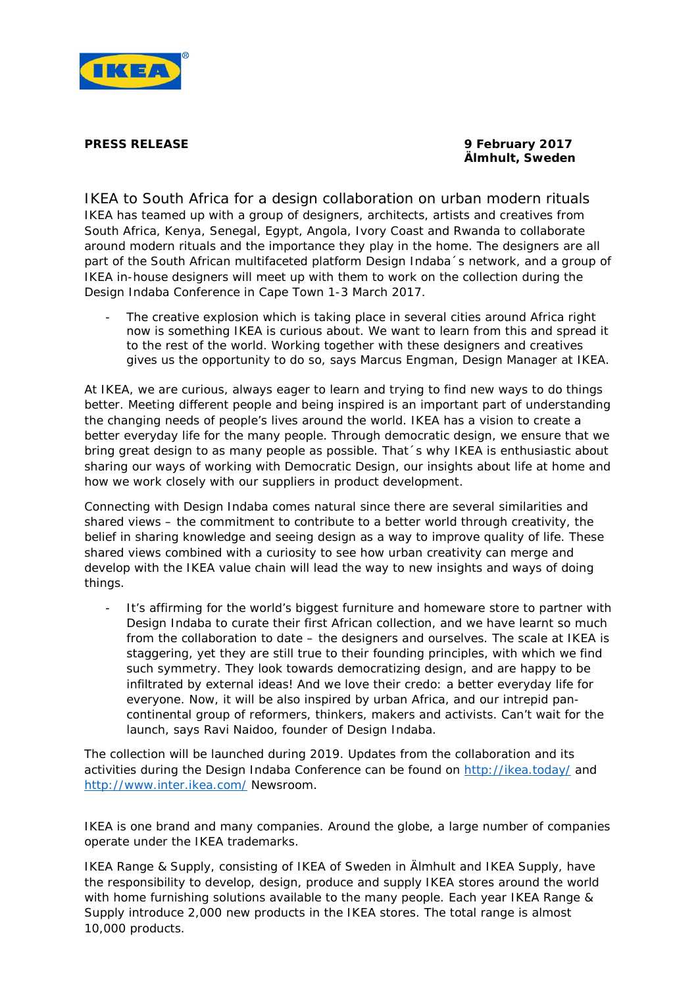

**PRESS RELEASE 9 February 2017 Älmhult, Sweden**

IKEA to South Africa for a design collaboration on urban modern rituals IKEA has teamed up with a group of designers, architects, artists and creatives from South Africa, Kenya, Senegal, Egypt, Angola, Ivory Coast and Rwanda to collaborate around modern rituals and the importance they play in the home. The designers are all part of the South African multifaceted platform Design Indaba´s network, and a group of IKEA in-house designers will meet up with them to work on the collection during the Design Indaba Conference in Cape Town 1-3 March 2017.

The creative explosion which is taking place in several cities around Africa right now is something IKEA is curious about. We want to learn from this and spread it to the rest of the world. Working together with these designers and creatives gives us the opportunity to do so, says Marcus Engman, Design Manager at IKEA.

At IKEA, we are curious, always eager to learn and trying to find new ways to do things better. Meeting different people and being inspired is an important part of understanding the changing needs of people's lives around the world. IKEA has a vision to create a better everyday life for the many people. Through democratic design, we ensure that we bring great design to as many people as possible. That´s why IKEA is enthusiastic about sharing our ways of working with Democratic Design, our insights about life at home and how we work closely with our suppliers in product development.

Connecting with Design Indaba comes natural since there are several similarities and shared views – the commitment to contribute to a better world through creativity, the belief in sharing knowledge and seeing design as a way to improve quality of life. These shared views combined with a curiosity to see how urban creativity can merge and develop with the IKEA value chain will lead the way to new insights and ways of doing things.

- It's affirming for the world's biggest furniture and homeware store to partner with Design Indaba to curate their first African collection, and we have learnt so much from the collaboration to date – the designers and ourselves. The scale at IKEA is staggering, yet they are still true to their founding principles, with which we find such symmetry. They look towards democratizing design, and are happy to be infiltrated by external ideas! And we love their credo: a better everyday life for everyone. Now, it will be also inspired by urban Africa, and our intrepid pancontinental group of reformers, thinkers, makers and activists. Can't wait for the launch, says Ravi Naidoo, founder of Design Indaba.

The collection will be launched during 2019. Updates from the collaboration and its activities during the Design Indaba Conference can be found on<http://ikea.today/> and <http://www.inter.ikea.com/> Newsroom.

*IKEA is one brand and many companies. Around the globe, a large number of companies operate under the IKEA trademarks.*

*IKEA Range & Supply, consisting of IKEA of Sweden in Älmhult and IKEA Supply, have the responsibility to develop, design, produce and supply IKEA stores around the world with home furnishing solutions available to the many people. Each year IKEA Range & Supply introduce 2,000 new products in the IKEA stores. The total range is almost 10,000 products.*